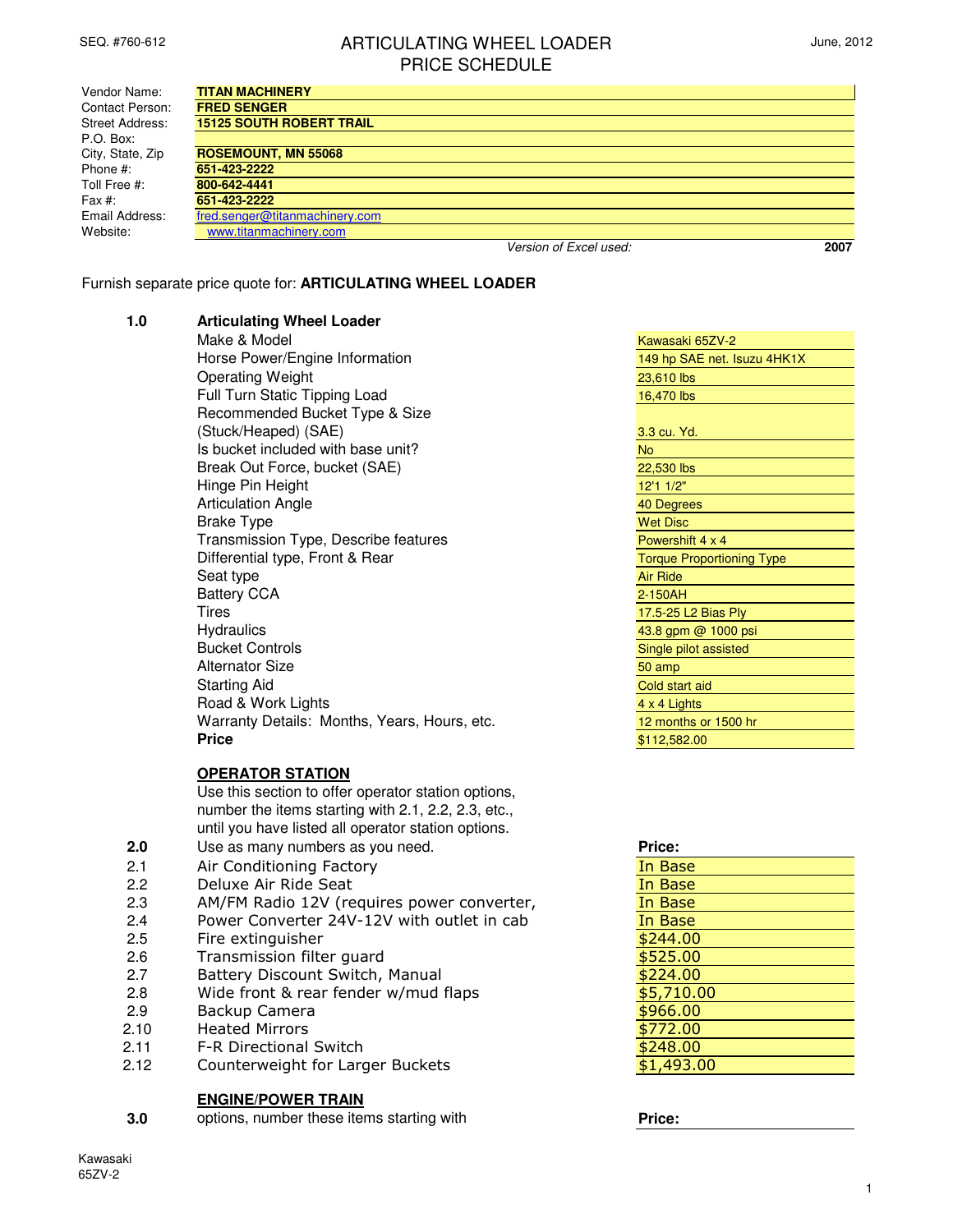# SEQ. #760-612 **ARTICULATING WHEEL LOADER** PRICE SCHEDULE

| June, 2012 |  |  |
|------------|--|--|
|------------|--|--|

| Vendor Name:           | <b>TITAN MACHINERY</b>          |                        |      |
|------------------------|---------------------------------|------------------------|------|
| Contact Person:        | <b>FRED SENGER</b>              |                        |      |
| <b>Street Address:</b> | <b>15125 SOUTH ROBERT TRAIL</b> |                        |      |
| P.O. Box:              |                                 |                        |      |
| City, State, Zip       | <b>ROSEMOUNT, MN 55068</b>      |                        |      |
| Phone #:               | 651-423-2222                    |                        |      |
| Toll Free #:           | 800-642-4441                    |                        |      |
| Fax $#$ :              | 651-423-2222                    |                        |      |
| Email Address:         | fred.senger@titanmachinery.com  |                        |      |
| Website:               | www.titanmachinery.com          |                        |      |
|                        |                                 | Version of Excel used: | 2007 |

Furnish separate price quote for: **ARTICULATING WHEEL LOADER**

**1.0 Articulating Wheel Loader**

| Make & Model                                        | Kawasaki 65ZV-2                  |
|-----------------------------------------------------|----------------------------------|
| Horse Power/Engine Information                      | 149 hp SAE net. Isuzu 4HK1X      |
| <b>Operating Weight</b>                             | 23,610 lbs                       |
| Full Turn Static Tipping Load                       | 16,470 lbs                       |
| Recommended Bucket Type & Size                      |                                  |
| (Stuck/Heaped) (SAE)                                | 3.3 cu. Yd.                      |
| Is bucket included with base unit?                  | <b>No</b>                        |
| Break Out Force, bucket (SAE)                       | 22,530 lbs                       |
| Hinge Pin Height                                    | 12'1 1/2"                        |
| <b>Articulation Angle</b>                           | 40 Degrees                       |
| <b>Brake Type</b>                                   | <b>Wet Disc</b>                  |
| Transmission Type, Describe features                | Powershift 4 x 4                 |
| Differential type, Front & Rear                     | <b>Torque Proportioning Type</b> |
| Seat type                                           | <b>Air Ride</b>                  |
| <b>Battery CCA</b>                                  | $2-150$ AH                       |
| Tires                                               | 17.5-25 L2 Bias Ply              |
| <b>Hydraulics</b>                                   | 43.8 gpm @ 1000 psi              |
| <b>Bucket Controls</b>                              | Single pilot assisted            |
| <b>Alternator Size</b>                              | 50 amp                           |
| <b>Starting Aid</b>                                 | Cold start aid                   |
| Road & Work Lights                                  | 4 x 4 Lights                     |
| Warranty Details: Months, Years, Hours, etc.        | 12 months or 1500 hr             |
| <b>Price</b>                                        | \$112,582.00                     |
|                                                     |                                  |
| <b>OPERATOR STATION</b>                             |                                  |
| Use this section to offer operator station options, |                                  |
| number the items starting with 2.1, 2.2, 2.3, etc., |                                  |
| until you have listed all operator station options. |                                  |

- **2.0** until you have lis Use as many numbers as you need. **Price:** Price:
- 2.1 Air Conditioning Factory **In Base**
- 2.2 Deluxe Air Ride Seat In Base In Base
- 2.3 AM/FM Radio 12V (requires power converter, The Base
- 2.4 Power Converter 24V-12V with outlet in cab In Base
- 2.5 Fire extinguisher **\$244.00**
- 2.6 Transmission filter guard **\$525.00**
- 2.7 Battery Discount Switch, Manual **\$224.00**
- 2.8 Wide front & rear fender w/mud flaps **\$5,710.00**
- 2.9 Backup Camera **\$966.00**
- 2.10 Heated Mirrors **\$772.00**
- 2.11 F-R Directional Switch **\$248.00**
- 2.12 Counterweight for Larger Buckets **\$1,493.00**

## **ENGINE/POWER TRAIN**

**3.0** options, number these items starting with **Price:**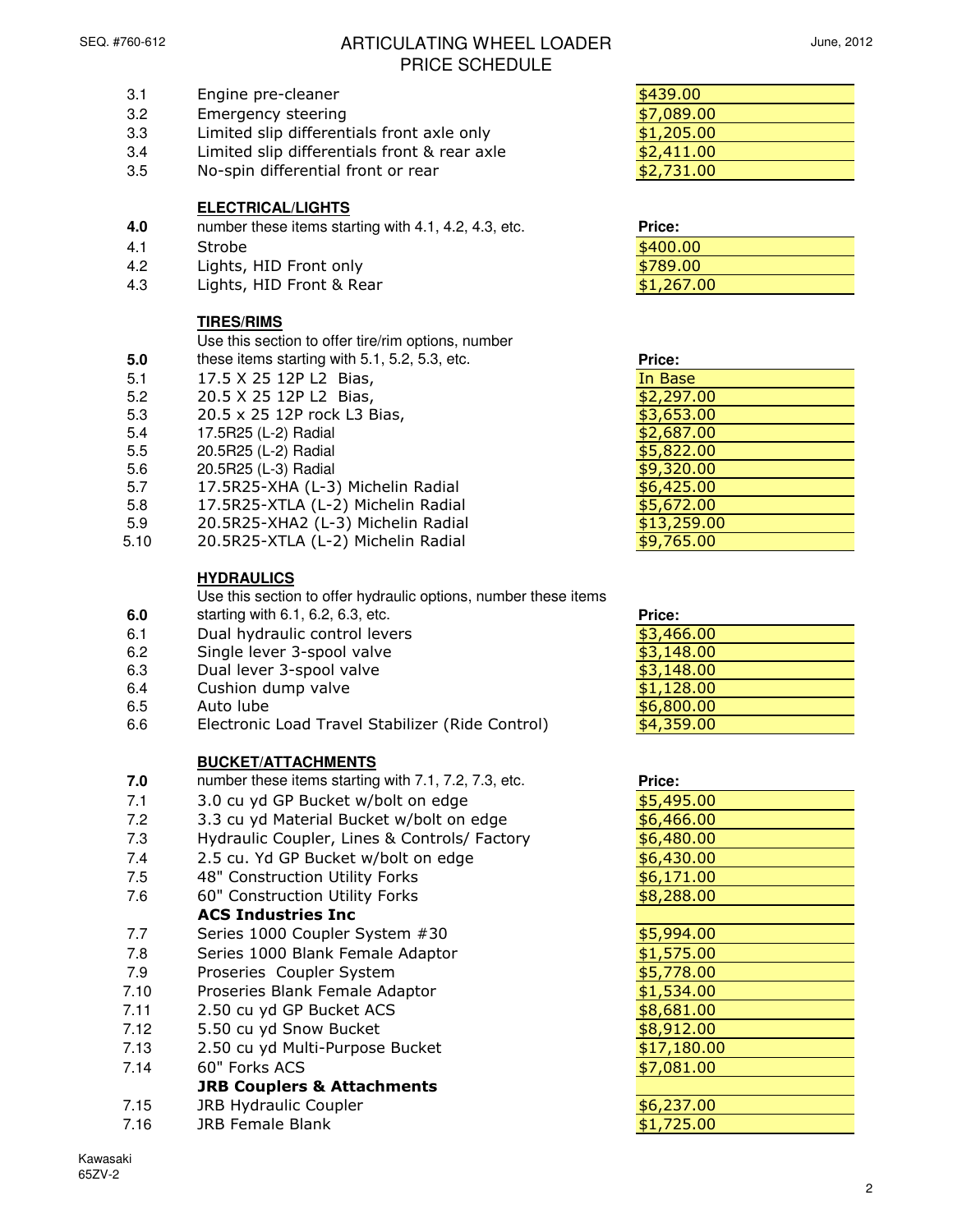**5.0**

# SEQ. #760-612 **ARTICULATING WHEEL LOADER** PRICE SCHEDULE

- 3.1 Engine pre-cleaner
- 3.2 Emergency steering
- 3.3 Limited slip differentials front axle only
- 3.4 Limited slip differentials front & rear axle
- 3.5 No-spin differential front or rear

## **ELECTRICAL/LIGHTS**

- **4.0** number these items starting with 4.1, 4.2, 4.3, etc. **Price:**
- 4.1 Strobe \$400.00
- 4.2 Lights, HID Front only
- 4.3 Lights, HID Front & Rear

## **TIRES/RIMS**

Use this section to offer tire/rim options, number

- these items starting with 5.1, 5.2, 5.3, etc.
- 5.1 17.5 X 25 12P L2 Bias,
- 5.2 20.5 X 25 12P L2 Bias,
- 5.3 20.5 x 25 12P rock L3 Bias,
- 5.4 17.5R25 (L-2) Radial
- 5.5 20.5R25 (L-2) Radial
- 5.6 20.5R25 (L-3) Radial
- 5.7 17.5R25-XHA (L-3) Michelin Radial
- 5.8 17.5R25-XTLA (L-2) Michelin Radial
- 5.9 20.5R25-XHA2 (L-3) Michelin Radial
- 5.10 20.5R25-XTLA (L-2) Michelin Radial

## **HYDRAULICS**

Use this section to offer hydraulic options, number these items

- **6.0** starting with 6.1, 6.2, 6.3, etc. **Price:**
- 6.1 Dual hydraulic control levers
- 6.2 Single lever 3-spool valve
- 6.3 Dual lever 3-spool valve
- 6.4 Cushion dump valve
- 6.5 Auto lube <mark>\$6,800.00</mark>
- 6.6 Electronic Load Travel Stabilizer (Ride Control)

## **BUCKET/ATTACHMENTS**

- **7.0** number these items starting with 7.1, 7.2, 7.3, etc.
- $7.1$  3.0 cu yd GP Bucket w/bolt on edge
- 7.2 3.3 cu yd Material Bucket w/bolt on edge
- 7.3 Hydraulic Coupler, Lines & Controls/ Factory
- 7.4 2.5 cu. Yd GP Bucket w/bolt on edge
- 7.5 48" Construction Utility Forks
- 7.6 60" Construction Utility Forks

## ACS Industries Inc

- 7.7 Series 1000 Coupler System #30
- 7.8 Series 1000 Blank Female Adaptor
- 7.9 Proseries Coupler System
- 7.10 Proseries Blank Female Adaptor
- $7.11$  2.50 cu yd GP Bucket ACS
- 7.12 5.50 cu yd Snow Bucket
- 7.13 2.50 cu yd Multi-Purpose Bucket
- 7.14 60" Forks ACS JRB Couplers & Attachments

# 7.15 JRB Hydraulic Coupler

- 
- 7.16 JRB Female Blank **\$1,725.00**
- 

| . |  |  |
|---|--|--|
|   |  |  |
|   |  |  |
|   |  |  |
|   |  |  |
|   |  |  |
|   |  |  |
|   |  |  |
|   |  |  |
|   |  |  |
|   |  |  |

### Kawasaki 65ZV-2

| \$439.00   |  |
|------------|--|
| \$7,089.00 |  |
| \$1,205.00 |  |
| \$2,411.00 |  |
| \$2,731.00 |  |

| <b>Price:</b> |  |
|---------------|--|
| \$400.00      |  |
| \$789.00      |  |
| \$1,267.00    |  |
|               |  |

| Price:      |
|-------------|
| In Base     |
| \$2,297.00  |
| \$3,653.00  |
| \$2,687.00  |
| \$5,822.00  |
| \$9,320.00  |
| \$6,425.00  |
| \$5,672.00  |
| \$13,259.00 |
| \$9,765.00  |

| Price:     |
|------------|
| \$3,466.00 |
| \$3,148.00 |
| \$3,148.00 |
| \$1,128.00 |
| \$6,800.00 |
| \$4,359.00 |

| Price:      |
|-------------|
| \$5,495.00  |
| \$6,466.00  |
| \$6,480.00  |
| \$6,430.00  |
| \$6,171.00  |
| \$8,288.00  |
|             |
| \$5,994.00  |
| \$1,575.00  |
| \$5,778.00  |
| \$1,534.00  |
| \$8,681.00  |
| \$8,912.00  |
| \$17,180.00 |
| \$7,081.00  |
|             |
| \$6,237.00  |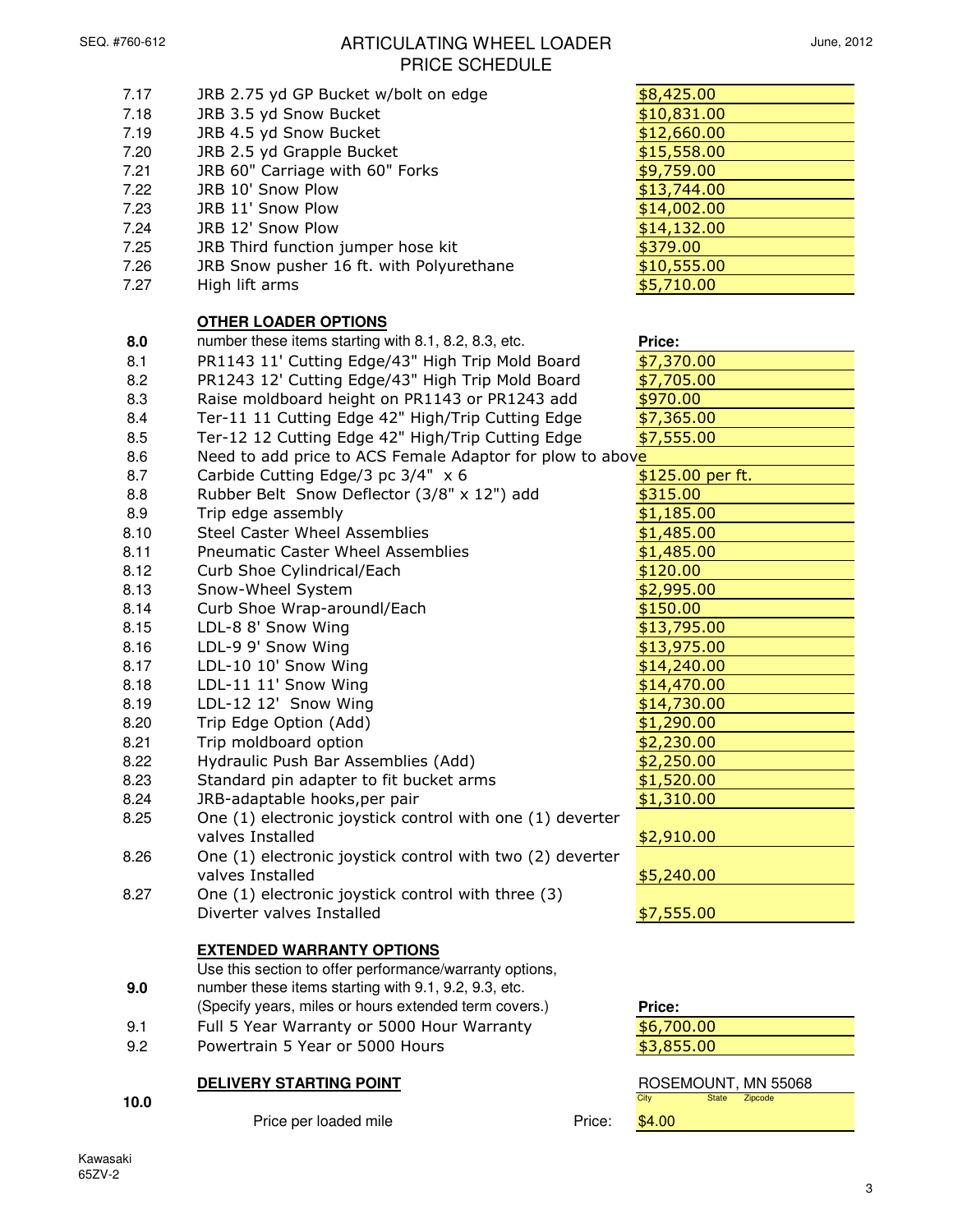# SEQ. #760-612 **ARTICULATING WHEEL LOADER** PRICE SCHEDULE

| 7.17 | JRB 2.75 yd GP Bucket w/bolt on edge                      | \$8,425.00                      |
|------|-----------------------------------------------------------|---------------------------------|
| 7.18 | JRB 3.5 yd Snow Bucket                                    | \$10,831.00                     |
| 7.19 | JRB 4.5 yd Snow Bucket                                    | \$12,660.00                     |
| 7.20 | JRB 2.5 yd Grapple Bucket                                 | \$15,558.00                     |
| 7.21 | JRB 60" Carriage with 60" Forks                           | \$9,759.00                      |
| 7.22 | JRB 10' Snow Plow                                         | \$13,744.00                     |
| 7.23 | JRB 11' Snow Plow                                         | \$14,002.00                     |
| 7.24 | JRB 12' Snow Plow                                         | \$14,132.00                     |
| 7.25 | JRB Third function jumper hose kit                        | \$379.00                        |
| 7.26 | JRB Snow pusher 16 ft. with Polyurethane                  | \$10,555.00                     |
| 7.27 | High lift arms                                            | \$5,710.00                      |
|      |                                                           |                                 |
|      | <b>OTHER LOADER OPTIONS</b>                               |                                 |
| 8.0  | number these items starting with 8.1, 8.2, 8.3, etc.      | Price:                          |
| 8.1  | PR1143 11' Cutting Edge/43" High Trip Mold Board          | \$7,370.00                      |
| 8.2  | PR1243 12' Cutting Edge/43" High Trip Mold Board          | \$7,705.00                      |
| 8.3  | Raise moldboard height on PR1143 or PR1243 add            | \$970.00                        |
| 8.4  |                                                           | \$7,365.00                      |
|      | Ter-11 11 Cutting Edge 42" High/Trip Cutting Edge         |                                 |
| 8.5  | Ter-12 12 Cutting Edge 42" High/Trip Cutting Edge         | \$7,555.00                      |
| 8.6  | Need to add price to ACS Female Adaptor for plow to above |                                 |
| 8.7  | Carbide Cutting Edge/3 pc 3/4" x 6                        | \$125.00 per ft.                |
| 8.8  | Rubber Belt Snow Deflector (3/8" x 12") add               | \$315.00                        |
| 8.9  | Trip edge assembly                                        | \$1,185.00                      |
| 8.10 | <b>Steel Caster Wheel Assemblies</b>                      | \$1,485.00                      |
| 8.11 | <b>Pneumatic Caster Wheel Assemblies</b>                  | \$1,485.00                      |
| 8.12 | Curb Shoe Cylindrical/Each                                | \$120.00                        |
| 8.13 | Snow-Wheel System                                         | \$2,995.00                      |
| 8.14 | Curb Shoe Wrap-aroundl/Each                               | \$150.00                        |
| 8.15 | LDL-8 8' Snow Wing                                        | \$13,795.00                     |
| 8.16 | LDL-9 9' Snow Wing                                        | \$13,975.00                     |
| 8.17 | LDL-10 10' Snow Wing                                      | \$14,240.00                     |
| 8.18 | LDL-11 11' Snow Wing                                      | \$14,470.00                     |
| 8.19 | LDL-12 12' Snow Wing                                      | \$14,730.00                     |
| 8.20 | Trip Edge Option (Add)                                    | \$1,290.00                      |
| 8.21 | Trip moldboard option                                     | \$2,230.00                      |
| 8.22 | Hydraulic Push Bar Assemblies (Add)                       | \$2,250.00                      |
| 8.23 | Standard pin adapter to fit bucket arms                   | \$1,520.00                      |
| 8.24 | JRB-adaptable hooks, per pair                             | \$1,310.00                      |
| 8.25 | One (1) electronic joystick control with one (1) deverter |                                 |
|      | valves Installed                                          | \$2,910.00                      |
| 8.26 | One (1) electronic joystick control with two (2) deverter |                                 |
|      | valves Installed                                          | \$5,240.00                      |
| 8.27 | One (1) electronic joystick control with three (3)        |                                 |
|      | Diverter valves Installed                                 | \$7,555.00                      |
|      |                                                           |                                 |
|      | <b>EXTENDED WARRANTY OPTIONS</b>                          |                                 |
|      | Use this section to offer performance/warranty options,   |                                 |
| 9.0  | number these items starting with 9.1, 9.2, 9.3, etc.      |                                 |
|      | (Specify years, miles or hours extended term covers.)     | Price:                          |
| 9.1  | Full 5 Year Warranty or 5000 Hour Warranty                | \$6,700.00                      |
| 9.2  | Powertrain 5 Year or 5000 Hours                           | \$3,855.00                      |
|      |                                                           |                                 |
|      | <b>DELIVERY STARTING POINT</b>                            | ROSEMOUNT, MN 55068             |
| 10.0 |                                                           | City<br>Zipcode<br><b>State</b> |

Price per loaded mile **Price:** \$4.00

**10.0** City State Zipcode